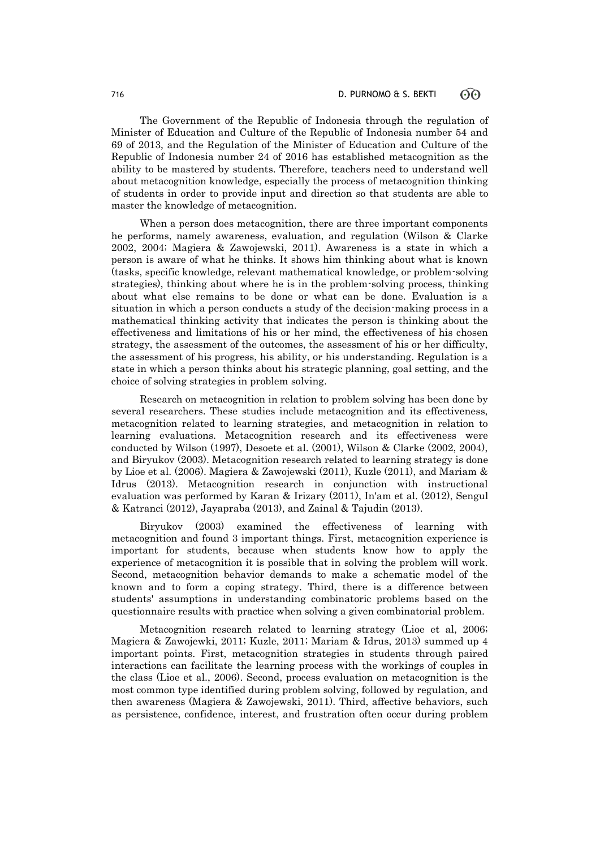The Government of the Republic of Indonesia through the regulation of Minister of Education and Culture of the Republic of Indonesia number 54 and 69 of 2013, and the Regulation of the Minister of Education and Culture of the Republic of Indonesia number 24 of 2016 has established metacognition as the ability to be mastered by students. Therefore, teachers need to understand well about metacognition knowledge, especially the process of metacognition thinking of students in order to provide input and direction so that students are able to master the knowledge of metacognition.

When a person does metacognition, there are three important components he performs, namely awareness, evaluation, and regulation (Wilson & Clarke 2002, 2004; Magiera & Zawojewski, 2011). Awareness is a state in which a person is aware of what he thinks. It shows him thinking about what is known (tasks, specific knowledge, relevant mathematical knowledge, or problem-solving strategies), thinking about where he is in the problem-solving process, thinking about what else remains to be done or what can be done. Evaluation is a situation in which a person conducts a study of the decision-making process in a mathematical thinking activity that indicates the person is thinking about the effectiveness and limitations of his or her mind, the effectiveness of his chosen strategy, the assessment of the outcomes, the assessment of his or her difficulty, the assessment of his progress, his ability, or his understanding. Regulation is a state in which a person thinks about his strategic planning, goal setting, and the choice of solving strategies in problem solving.

Research on metacognition in relation to problem solving has been done by several researchers. These studies include metacognition and its effectiveness, metacognition related to learning strategies, and metacognition in relation to learning evaluations. Metacognition research and its effectiveness were conducted by Wilson (1997), Desoete et al. (2001), Wilson & Clarke (2002, 2004), and Biryukov (2003). Metacognition research related to learning strategy is done by Lioe et al. (2006). Magiera & Zawojewski (2011), Kuzle (2011), and Mariam & Idrus (2013). Metacognition research in conjunction with instructional evaluation was performed by Karan & Irizary (2011), In'am et al. (2012), Sengul & Katranci (2012), Jayapraba (2013), and Zainal & Tajudin (2013).

Biryukov (2003) examined the effectiveness of learning with metacognition and found 3 important things. First, metacognition experience is important for students, because when students know how to apply the experience of metacognition it is possible that in solving the problem will work. Second, metacognition behavior demands to make a schematic model of the known and to form a coping strategy. Third, there is a difference between students' assumptions in understanding combinatoric problems based on the questionnaire results with practice when solving a given combinatorial problem.

Metacognition research related to learning strategy (Lioe et al, 2006; Magiera & Zawojewki, 2011; Kuzle, 2011; Mariam & Idrus, 2013) summed up 4 important points. First, metacognition strategies in students through paired interactions can facilitate the learning process with the workings of couples in the class (Lioe et al., 2006). Second, process evaluation on metacognition is the most common type identified during problem solving, followed by regulation, and then awareness (Magiera & Zawojewski, 2011). Third, affective behaviors, such as persistence, confidence, interest, and frustration often occur during problem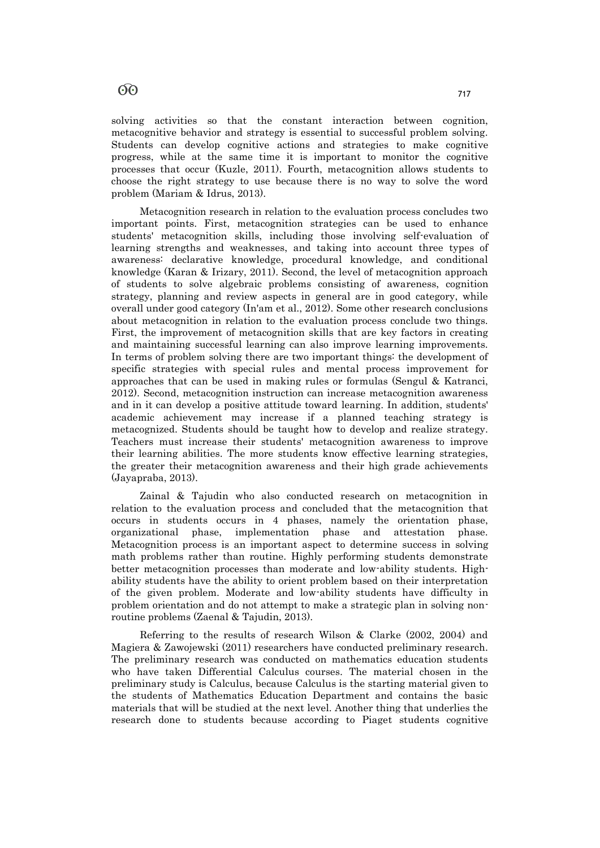## 60  $,17$ ( $/$ (&7-0\$<del>4)</del> 717

solving activities so that the constant interaction between cognition, metacognitive behavior and strategy is essential to successful problem solving. Students can develop cognitive actions and strategies to make cognitive progress, while at the same time it is important to monitor the cognitive processes that occur (Kuzle, 2011). Fourth, metacognition allows students to choose the right strategy to use because there is no way to solve the word problem (Mariam & Idrus, 2013).

Metacognition research in relation to the evaluation process concludes two important points. First, metacognition strategies can be used to enhance students' metacognition skills, including those involving self-evaluation of learning strengths and weaknesses, and taking into account three types of awareness: declarative knowledge, procedural knowledge, and conditional knowledge (Karan & Irizary, 2011). Second, the level of metacognition approach of students to solve algebraic problems consisting of awareness, cognition strategy, planning and review aspects in general are in good category, while overall under good category (In'am et al., 2012). Some other research conclusions about metacognition in relation to the evaluation process conclude two things. First, the improvement of metacognition skills that are key factors in creating and maintaining successful learning can also improve learning improvements. In terms of problem solving there are two important things: the development of specific strategies with special rules and mental process improvement for approaches that can be used in making rules or formulas (Sengul & Katranci, 2012). Second, metacognition instruction can increase metacognition awareness and in it can develop a positive attitude toward learning. In addition, students' academic achievement may increase if a planned teaching strategy is metacognized. Students should be taught how to develop and realize strategy. Teachers must increase their students' metacognition awareness to improve their learning abilities. The more students know effective learning strategies, the greater their metacognition awareness and their high grade achievements (Jayapraba, 2013).

Zainal & Tajudin who also conducted research on metacognition in relation to the evaluation process and concluded that the metacognition that occurs in students occurs in 4 phases, namely the orientation phase, organizational phase, implementation phase and attestation phase. Metacognition process is an important aspect to determine success in solving math problems rather than routine. Highly performing students demonstrate better metacognition processes than moderate and low-ability students. Highability students have the ability to orient problem based on their interpretation of the given problem. Moderate and low-ability students have difficulty in problem orientation and do not attempt to make a strategic plan in solving nonroutine problems (Zaenal & Tajudin, 2013).

Referring to the results of research Wilson & Clarke (2002, 2004) and Magiera & Zawojewski (2011) researchers have conducted preliminary research. The preliminary research was conducted on mathematics education students who have taken Differential Calculus courses. The material chosen in the preliminary study is Calculus, because Calculus is the starting material given to the students of Mathematics Education Department and contains the basic materials that will be studied at the next level. Another thing that underlies the research done to students because according to Piaget students cognitive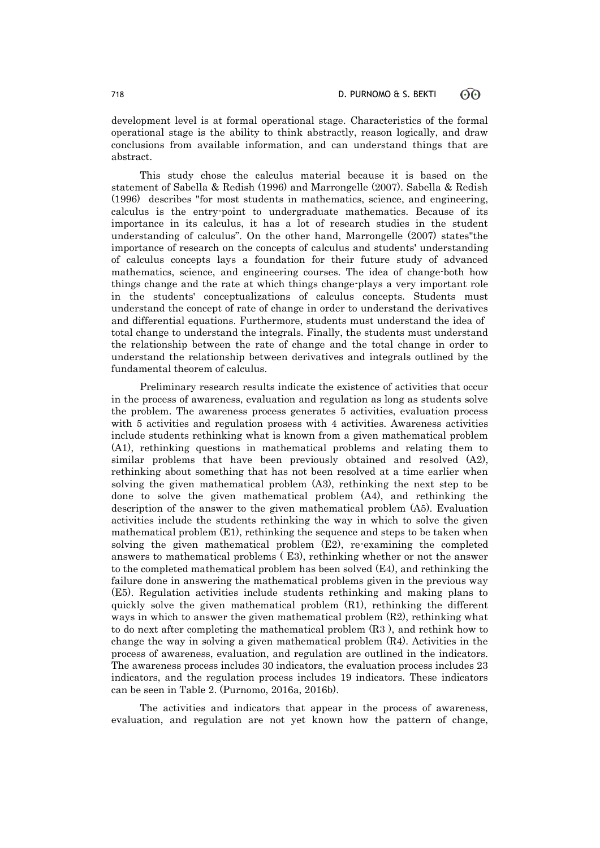development level is at formal operational stage. Characteristics of the formal operational stage is the ability to think abstractly, reason logically, and draw conclusions from available information, and can understand things that are abstract.

This study chose the calculus material because it is based on the statement of Sabella & Redish (1996) and Marrongelle (2007). Sabella & Redish (1996) describes "for most students in mathematics, science, and engineering, calculus is the entry-point to undergraduate mathematics. Because of its importance in its calculus, it has a lot of research studies in the student understanding of calculus". On the other hand, Marrongelle (2007) states"the importance of research on the concepts of calculus and students' understanding of calculus concepts lays a foundation for their future study of advanced mathematics, science, and engineering courses. The idea of change-both how things change and the rate at which things change-plays a very important role in the students' conceptualizations of calculus concepts. Students must understand the concept of rate of change in order to understand the derivatives and differential equations. Furthermore, students must understand the idea of total change to understand the integrals. Finally, the students must understand the relationship between the rate of change and the total change in order to understand the relationship between derivatives and integrals outlined by the fundamental theorem of calculus.

Preliminary research results indicate the existence of activities that occur in the process of awareness, evaluation and regulation as long as students solve the problem. The awareness process generates 5 activities, evaluation process with 5 activities and regulation prosess with 4 activities. Awareness activities include students rethinking what is known from a given mathematical problem (A1), rethinking questions in mathematical problems and relating them to similar problems that have been previously obtained and resolved (A2), rethinking about something that has not been resolved at a time earlier when solving the given mathematical problem (A3), rethinking the next step to be done to solve the given mathematical problem (A4), and rethinking the description of the answer to the given mathematical problem (A5). Evaluation activities include the students rethinking the way in which to solve the given mathematical problem (E1), rethinking the sequence and steps to be taken when solving the given mathematical problem (E2), re-examining the completed answers to mathematical problems ( E3), rethinking whether or not the answer to the completed mathematical problem has been solved (E4), and rethinking the failure done in answering the mathematical problems given in the previous way (E5). Regulation activities include students rethinking and making plans to quickly solve the given mathematical problem (R1), rethinking the different ways in which to answer the given mathematical problem (R2), rethinking what to do next after completing the mathematical problem (R3 ), and rethink how to change the way in solving a given mathematical problem (R4). Activities in the process of awareness, evaluation, and regulation are outlined in the indicators. The awareness process includes 30 indicators, the evaluation process includes 23 indicators, and the regulation process includes 19 indicators. These indicators can be seen in Table 2. (Purnomo, 2016a, 2016b).

The activities and indicators that appear in the process of awareness, evaluation, and regulation are not yet known how the pattern of change,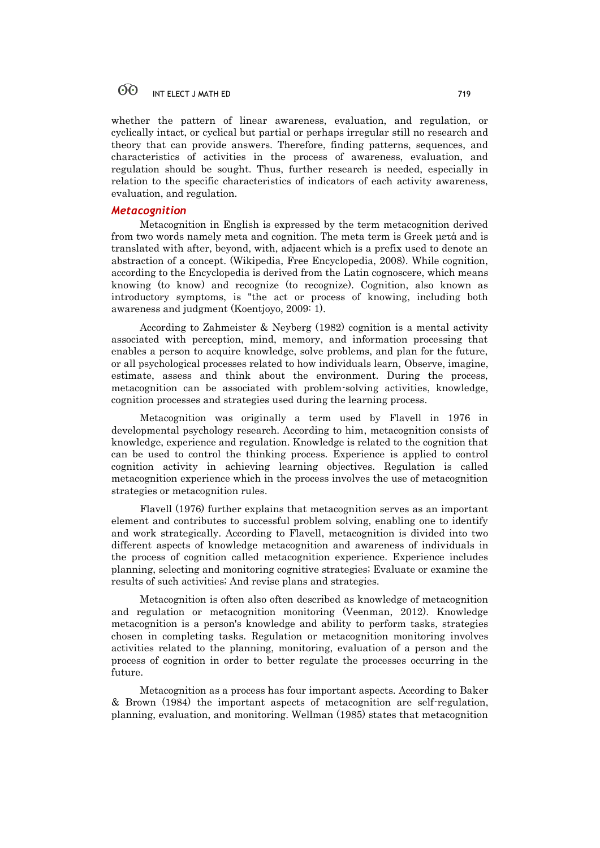whether the pattern of linear awareness, evaluation, and regulation, or cyclically intact, or cyclical but partial or perhaps irregular still no research and theory that can provide answers. Therefore, finding patterns, sequences, and characteristics of activities in the process of awareness, evaluation, and regulation should be sought. Thus, further research is needed, especially in relation to the specific characteristics of indicators of each activity awareness, evaluation, and regulation.

## *Metacognition*

Metacognition in English is expressed by the term metacognition derived from two words namely meta and cognition. The meta term is Greek μετά and is translated with after, beyond, with, adjacent which is a prefix used to denote an abstraction of a concept. (Wikipedia, Free Encyclopedia, 2008). While cognition, according to the Encyclopedia is derived from the Latin cognoscere, which means knowing (to know) and recognize (to recognize). Cognition, also known as introductory symptoms, is "the act or process of knowing, including both awareness and judgment (Koentjoyo, 2009: 1).

According to Zahmeister & Neyberg (1982) cognition is a mental activity associated with perception, mind, memory, and information processing that enables a person to acquire knowledge, solve problems, and plan for the future, or all psychological processes related to how individuals learn, Observe, imagine, estimate, assess and think about the environment. During the process, metacognition can be associated with problem-solving activities, knowledge, cognition processes and strategies used during the learning process.

Metacognition was originally a term used by Flavell in 1976 in developmental psychology research. According to him, metacognition consists of knowledge, experience and regulation. Knowledge is related to the cognition that can be used to control the thinking process. Experience is applied to control cognition activity in achieving learning objectives. Regulation is called metacognition experience which in the process involves the use of metacognition strategies or metacognition rules.

Flavell (1976) further explains that metacognition serves as an important element and contributes to successful problem solving, enabling one to identify and work strategically. According to Flavell, metacognition is divided into two different aspects of knowledge metacognition and awareness of individuals in the process of cognition called metacognition experience. Experience includes planning, selecting and monitoring cognitive strategies; Evaluate or examine the results of such activities; And revise plans and strategies.

Metacognition is often also often described as knowledge of metacognition and regulation or metacognition monitoring (Veenman, 2012). Knowledge metacognition is a person's knowledge and ability to perform tasks, strategies chosen in completing tasks. Regulation or metacognition monitoring involves activities related to the planning, monitoring, evaluation of a person and the process of cognition in order to better regulate the processes occurring in the future.

Metacognition as a process has four important aspects. According to Baker & Brown (1984) the important aspects of metacognition are self-regulation, planning, evaluation, and monitoring. Wellman (1985) states that metacognition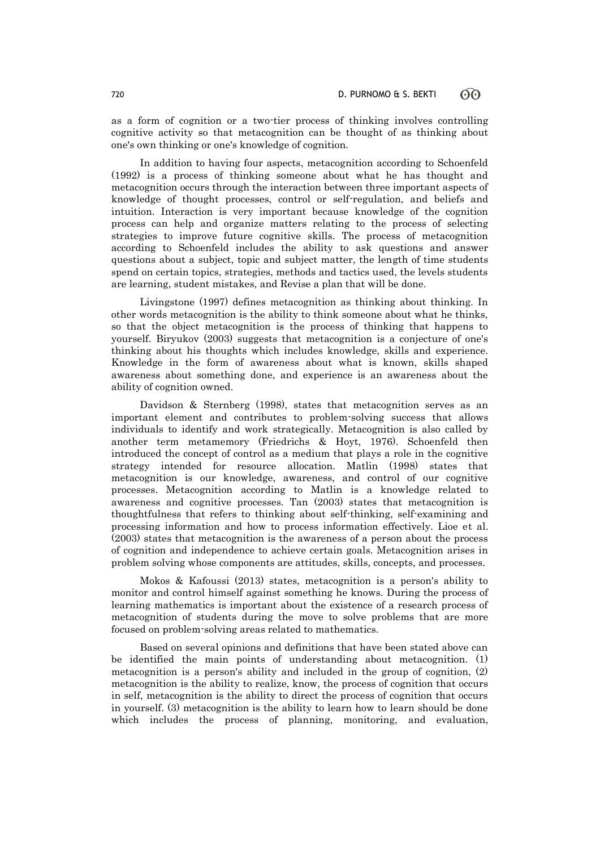as a form of cognition or a two-tier process of thinking involves controlling cognitive activity so that metacognition can be thought of as thinking about one's own thinking or one's knowledge of cognition.

In addition to having four aspects, metacognition according to Schoenfeld (1992) is a process of thinking someone about what he has thought and metacognition occurs through the interaction between three important aspects of knowledge of thought processes, control or self-regulation, and beliefs and intuition. Interaction is very important because knowledge of the cognition process can help and organize matters relating to the process of selecting strategies to improve future cognitive skills. The process of metacognition according to Schoenfeld includes the ability to ask questions and answer questions about a subject, topic and subject matter, the length of time students spend on certain topics, strategies, methods and tactics used, the levels students are learning, student mistakes, and Revise a plan that will be done.

Livingstone (1997) defines metacognition as thinking about thinking. In other words metacognition is the ability to think someone about what he thinks, so that the object metacognition is the process of thinking that happens to yourself. Biryukov (2003) suggests that metacognition is a conjecture of one's thinking about his thoughts which includes knowledge, skills and experience. Knowledge in the form of awareness about what is known, skills shaped awareness about something done, and experience is an awareness about the ability of cognition owned.

Davidson & Sternberg (1998), states that metacognition serves as an important element and contributes to problem-solving success that allows individuals to identify and work strategically. Metacognition is also called by another term metamemory (Friedrichs & Hoyt, 1976). Schoenfeld then introduced the concept of control as a medium that plays a role in the cognitive strategy intended for resource allocation. Matlin (1998) states that metacognition is our knowledge, awareness, and control of our cognitive processes. Metacognition according to Matlin is a knowledge related to awareness and cognitive processes. Tan (2003) states that metacognition is thoughtfulness that refers to thinking about self-thinking, self-examining and processing information and how to process information effectively. Lioe et al. (2003) states that metacognition is the awareness of a person about the process of cognition and independence to achieve certain goals. Metacognition arises in problem solving whose components are attitudes, skills, concepts, and processes.

Mokos & Kafoussi (2013) states, metacognition is a person's ability to monitor and control himself against something he knows. During the process of learning mathematics is important about the existence of a research process of metacognition of students during the move to solve problems that are more focused on problem-solving areas related to mathematics.

Based on several opinions and definitions that have been stated above can be identified the main points of understanding about metacognition. (1) metacognition is a person's ability and included in the group of cognition, (2) metacognition is the ability to realize, know, the process of cognition that occurs in self, metacognition is the ability to direct the process of cognition that occurs in yourself. (3) metacognition is the ability to learn how to learn should be done which includes the process of planning, monitoring, and evaluation,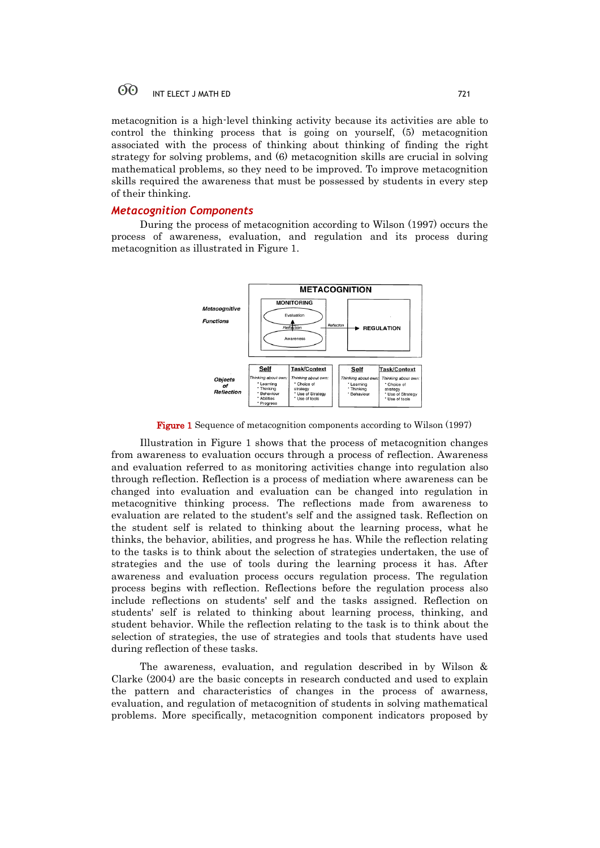metacognition is a high-level thinking activity because its activities are able to control the thinking process that is going on yourself, (5) metacognition associated with the process of thinking about thinking of finding the right strategy for solving problems, and (6) metacognition skills are crucial in solving mathematical problems, so they need to be improved. To improve metacognition skills required the awareness that must be possessed by students in every step of their thinking.

## *Metacognition Components*

During the process of metacognition according to Wilson (1997) occurs the process of awareness, evaluation, and regulation and its process during metacognition as illustrated in Figure 1.



Figure 1 Sequence of metacognition components according to Wilson (1997)

Illustration in Figure 1 shows that the process of metacognition changes from awareness to evaluation occurs through a process of reflection. Awareness and evaluation referred to as monitoring activities change into regulation also through reflection. Reflection is a process of mediation where awareness can be changed into evaluation and evaluation can be changed into regulation in metacognitive thinking process. The reflections made from awareness to evaluation are related to the student's self and the assigned task. Reflection on the student self is related to thinking about the learning process, what he thinks, the behavior, abilities, and progress he has. While the reflection relating to the tasks is to think about the selection of strategies undertaken, the use of strategies and the use of tools during the learning process it has. After awareness and evaluation process occurs regulation process. The regulation process begins with reflection. Reflections before the regulation process also include reflections on students' self and the tasks assigned. Reflection on students' self is related to thinking about learning process, thinking, and student behavior. While the reflection relating to the task is to think about the selection of strategies, the use of strategies and tools that students have used during reflection of these tasks.

The awareness, evaluation, and regulation described in by Wilson & Clarke (2004) are the basic concepts in research conducted and used to explain the pattern and characteristics of changes in the process of awarness, evaluation, and regulation of metacognition of students in solving mathematical problems. More specifically, metacognition component indicators proposed by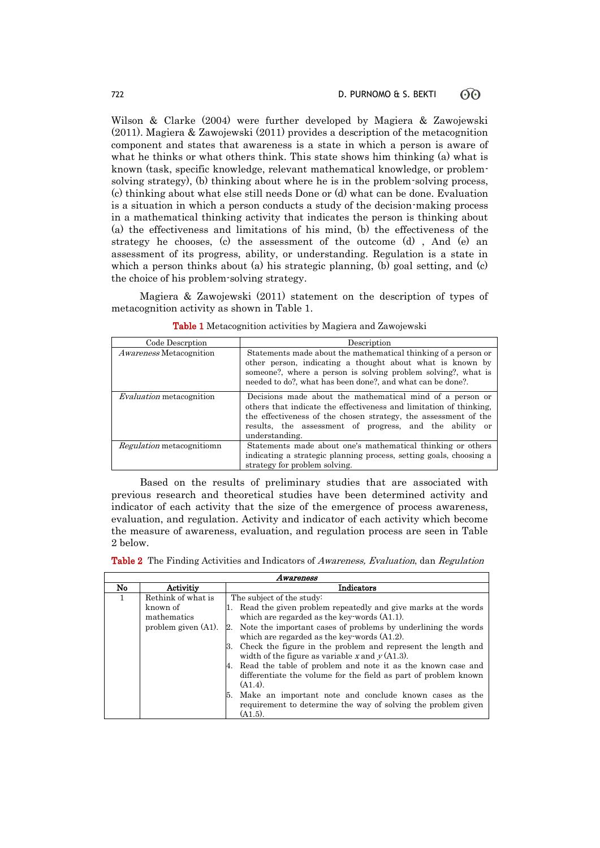Wilson & Clarke (2004) were further developed by Magiera & Zawojewski (2011). Magiera & Zawojewski (2011) provides a description of the metacognition component and states that awareness is a state in which a person is aware of what he thinks or what others think. This state shows him thinking (a) what is known (task, specific knowledge, relevant mathematical knowledge, or problemsolving strategy), (b) thinking about where he is in the problem-solving process, (c) thinking about what else still needs Done or (d) what can be done. Evaluation is a situation in which a person conducts a study of the decision-making process in a mathematical thinking activity that indicates the person is thinking about (a) the effectiveness and limitations of his mind, (b) the effectiveness of the strategy he chooses, (c) the assessment of the outcome  $(d)$ , And  $(e)$  and assessment of its progress, ability, or understanding. Regulation is a state in which a person thinks about (a) his strategic planning, (b) goal setting, and (c) the choice of his problem-solving strategy.

Magiera & Zawojewski (2011) statement on the description of types of metacognition activity as shown in Table 1.

| Code Descrption                  | Description                                                                                                                                                                                                                                                                     |
|----------------------------------|---------------------------------------------------------------------------------------------------------------------------------------------------------------------------------------------------------------------------------------------------------------------------------|
| <i>Awareness</i> Metacognition   | Statements made about the mathematical thinking of a person or<br>other person, indicating a thought about what is known by<br>someone?, where a person is solving problem solving?, what is<br>needed to do?, what has been done?, and what can be done?.                      |
| <i>Evaluation</i> metacognition  | Decisions made about the mathematical mind of a person or<br>others that indicate the effectiveness and limitation of thinking.<br>the effectiveness of the chosen strategy, the assessment of the<br>results, the assessment of progress, and the ability or<br>understanding. |
| <i>Regulation</i> metacognitiomn | Statements made about one's mathematical thinking or others<br>indicating a strategic planning process, setting goals, choosing a<br>strategy for problem solving.                                                                                                              |

Table 1 Metacognition activities by Magiera and Zawojewski

Based on the results of preliminary studies that are associated with previous research and theoretical studies have been determined activity and indicator of each activity that the size of the emergence of process awareness, evaluation, and regulation. Activity and indicator of each activity which become the measure of awareness, evaluation, and regulation process are seen in Table 2 below.

| <b>Table 2</b> The Finding Activities and Indicators of Awareness, Evaluation, dan Regulation |  |
|-----------------------------------------------------------------------------------------------|--|
|                                                                                               |  |

|                 |   | Awareness                                                               |                                                                                                                                                                                                                                                                                                                                                                                                                                                                                                                                                                                                                                                                       |  |  |
|-----------------|---|-------------------------------------------------------------------------|-----------------------------------------------------------------------------------------------------------------------------------------------------------------------------------------------------------------------------------------------------------------------------------------------------------------------------------------------------------------------------------------------------------------------------------------------------------------------------------------------------------------------------------------------------------------------------------------------------------------------------------------------------------------------|--|--|
| Activitiv<br>No |   |                                                                         | Indicators                                                                                                                                                                                                                                                                                                                                                                                                                                                                                                                                                                                                                                                            |  |  |
|                 | 1 | Rethink of what is<br>known of<br>mathematics<br>problem given $(A1)$ . | The subject of the study:<br>Read the given problem repeatedly and give marks at the words<br>which are regarded as the key-words $(A1.1)$ .<br>Note the important cases of problems by underlining the words<br>which are regarded as the key-words $(A1.2)$ .<br>Check the figure in the problem and represent the length and<br>width of the figure as variable x and $y(A1.3)$ .<br>Read the table of problem and note it as the known case and<br>differentiate the volume for the field as part of problem known<br>$(A1.4)$ .<br>Make an important note and conclude known cases as the<br>5.<br>requirement to determine the way of solving the problem given |  |  |
|                 |   |                                                                         | $(A1.5)$ .                                                                                                                                                                                                                                                                                                                                                                                                                                                                                                                                                                                                                                                            |  |  |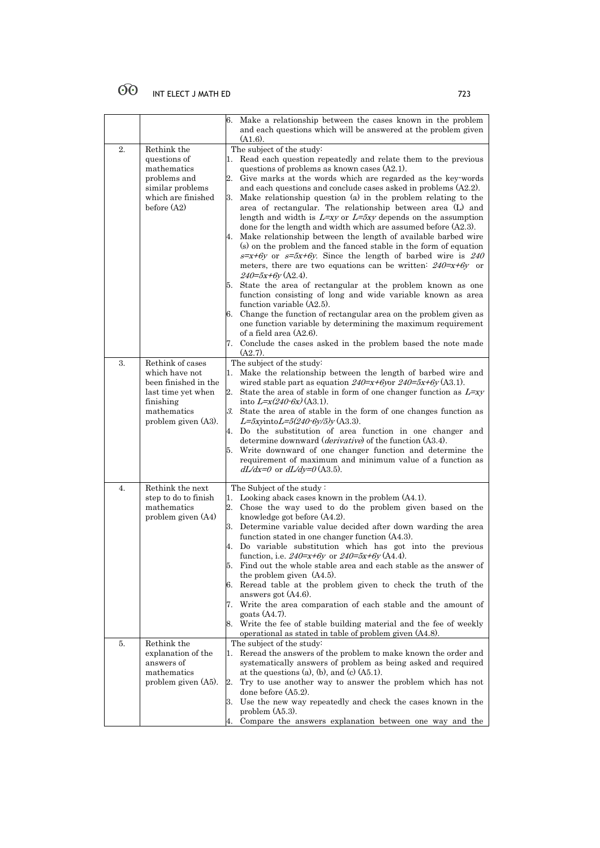|    |                                                                                                                                     | 6.                   | Make a relationship between the cases known in the problem<br>and each questions which will be answered at the problem given<br>$(A1.6)$ .                                                                                                                                                                                                                                                                                                                                                                                                                                                                                                                                                                                                                                                                                                                                                                                                                                                                                                                                                                                                                                                                                                                      |
|----|-------------------------------------------------------------------------------------------------------------------------------------|----------------------|-----------------------------------------------------------------------------------------------------------------------------------------------------------------------------------------------------------------------------------------------------------------------------------------------------------------------------------------------------------------------------------------------------------------------------------------------------------------------------------------------------------------------------------------------------------------------------------------------------------------------------------------------------------------------------------------------------------------------------------------------------------------------------------------------------------------------------------------------------------------------------------------------------------------------------------------------------------------------------------------------------------------------------------------------------------------------------------------------------------------------------------------------------------------------------------------------------------------------------------------------------------------|
| 2. | Rethink the<br>questions of<br>mathematics<br>problems and<br>similar problems<br>which are finished<br>before $(A2)$               | 1.<br>2.<br>3.<br>4. | The subject of the study:<br>Read each question repeatedly and relate them to the previous<br>questions of problems as known cases (A2.1).<br>Give marks at the words which are regarded as the key-words<br>and each questions and conclude cases asked in problems (A2.2).<br>Make relationship question (a) in the problem relating to the<br>area of rectangular. The relationship between area (L) and<br>length and width is $L=xy$ or $L=5xy$ depends on the assumption<br>done for the length and width which are assumed before $(A2.3)$ .<br>Make relationship between the length of available barbed wire<br>(s) on the problem and the fanced stable in the form of equation<br>$s=x+6y$ or $s=5x+6y$ . Since the length of barbed wire is 240<br>meters, there are two equations can be written: $240=x+6y$ or<br>$240=5x+6y(A2.4)$ .<br>5. State the area of rectangular at the problem known as one<br>function consisting of long and wide variable known as area<br>function variable (A2.5).<br>6. Change the function of rectangular area on the problem given as<br>one function variable by determining the maximum requirement<br>of a field area (A2.6).<br>7. Conclude the cases asked in the problem based the note made<br>$(A2.7)$ . |
| 3. | Rethink of cases<br>which have not<br>been finished in the<br>last time yet when<br>finishing<br>mathematics<br>problem given (A3). |                      | The subject of the study:<br>Make the relationship between the length of barbed wire and<br>wired stable part as equation $240=x+6y$ or $240=5x+6y$ (A3.1).<br>2. State the area of stable in form of one changer function as $L=xy$<br>into $L = x(240-6x)(A3.1)$ .<br>3. State the area of stable in the form of one changes function as<br>$L = 5$ xyinto $L = 5(240.6y/5)y$ (A3.3).<br>4. Do the substitution of area function in one changer and<br>determine downward ( <i>derivative</i> ) of the function (A3.4).<br>5. Write downward of one changer function and determine the<br>requirement of maximum and minimum value of a function as<br>$dL/dx=0$ or $dL/dy=0$ (A3.5).                                                                                                                                                                                                                                                                                                                                                                                                                                                                                                                                                                         |
| 4. | Rethink the next<br>step to do to finish<br>mathematics<br>problem given (A4)                                                       | 4.                   | The Subject of the study:<br>1. Looking aback cases known in the problem (A4.1).<br>2. Chose the way used to do the problem given based on the<br>knowledge got before $(A4.2)$ .<br>3. Determine variable value decided after down warding the area<br>function stated in one changer function (A4.3).<br>Do variable substitution which has got into the previous<br>function, i.e. $240=x+6y$ or $240=5x+6y$ (A4.4).<br>5. Find out the whole stable area and each stable as the answer of<br>the problem given $(A4.5)$ .<br>6. Reread table at the problem given to check the truth of the<br>answers got $(A4.6)$ .<br>7. Write the area comparation of each stable and the amount of<br>goats $(A4.7)$ .<br>8. Write the fee of stable building material and the fee of weekly<br>operational as stated in table of problem given $(A4.8)$ .                                                                                                                                                                                                                                                                                                                                                                                                             |
| 5. | Rethink the<br>explanation of the<br>answers of<br>mathematics<br>problem given (A5).                                               | 2.<br>4.             | The subject of the study:<br>1. Reread the answers of the problem to make known the order and<br>systematically answers of problem as being asked and required<br>at the questions (a), (b), and (c) $(A5.1)$ .<br>Try to use another way to answer the problem which has not<br>done before (A5.2).<br>3. Use the new way repeatedly and check the cases known in the<br>problem $(A5.3)$ .<br>Compare the answers explanation between one way and the                                                                                                                                                                                                                                                                                                                                                                                                                                                                                                                                                                                                                                                                                                                                                                                                         |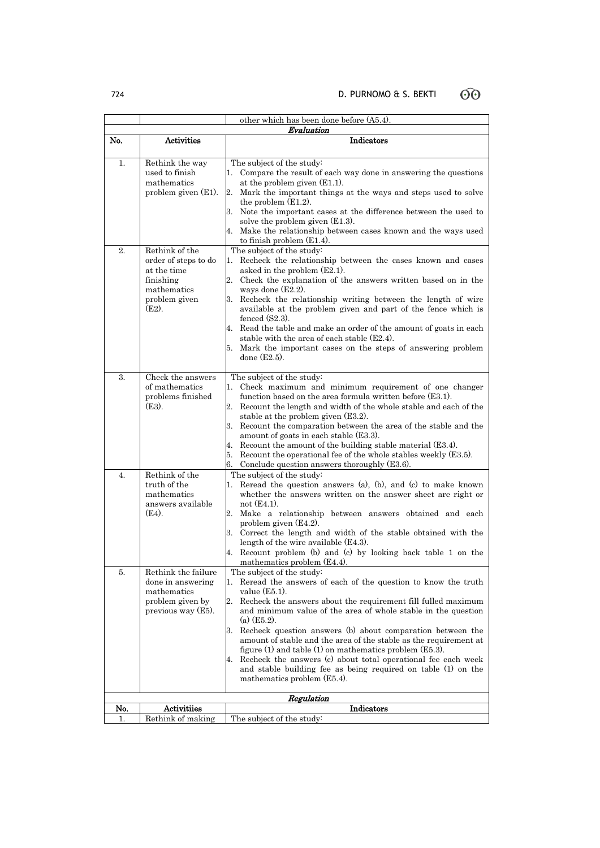other which has been done before (A5.4). Evaluation No. Activities Indicators 1. Rethink the way used to finish mathematics problem given (E1). The subject of the study: 1. Compare the result of each way done in answering the questions at the problem given (E1.1). 2. Mark the important things at the ways and steps used to solve the problem (E1.2). 3. Note the important cases at the difference between the used to solve the problem given (E1.3). 4. Make the relationship between cases known and the ways used to finish problem (E1.4). 2. Rethink of the order of steps to do at the time finishing mathematics problem given  $(E2)$ . The subject of the study: 1. Recheck the relationship between the cases known and cases asked in the problem (E2.1). 2. Check the explanation of the answers written based on in the ways done (E2.2). 3. Recheck the relationship writing between the length of wire available at the problem given and part of the fence which is fenced (S2.3). 4. Read the table and make an order of the amount of goats in each stable with the area of each stable (E2.4). 5. Mark the important cases on the steps of answering problem done (E2.5). 3. Check the answers of mathematics problems finished (E3). The subject of the study: 1. Check maximum and minimum requirement of one changer function based on the area formula written before (E3.1). 2. Recount the length and width of the whole stable and each of the stable at the problem given (E3.2). 3. Recount the comparation between the area of the stable and the amount of goats in each stable (E3.3). 4. Recount the amount of the building stable material (E3.4). 5. Recount the operational fee of the whole stables weekly (E3.5). 6. Conclude question answers thoroughly (E3.6). 4. Rethink of the truth of the mathematics answers available (E4). The subject of the study: 1. Reread the question answers (a), (b), and (c) to make known whether the answers written on the answer sheet are right or not (E4.1). 2. Make a relationship between answers obtained and each problem given (E4.2). 3. Correct the length and width of the stable obtained with the length of the wire available (E4.3). 4. Recount problem (b) and (c) by looking back table 1 on the mathematics problem (E4.4). 5. Rethink the failure done in answering mathematics problem given by previous way (E5). The subject of the study: Reread the answers of each of the question to know the truth value (E5.1). 2. Recheck the answers about the requirement fill fulled maximum and minimum value of the area of whole stable in the question (a) (E5.2). 3. Recheck question answers (b) about comparation between the amount of stable and the area of the stable as the requirement at figure (1) and table (1) on mathematics problem (E5.3). 4. Recheck the answers (c) about total operational fee each week and stable building fee as being required on table (1) on the mathematics problem (E5.4). Regulation

No. Activitiies and Activities and Activities and Activities and Activities and Activities and Activities and Activities and Activities and Activities and Activities and Activities and Activities and Activities and Activit 1. Rethink of making The subject of the study:

60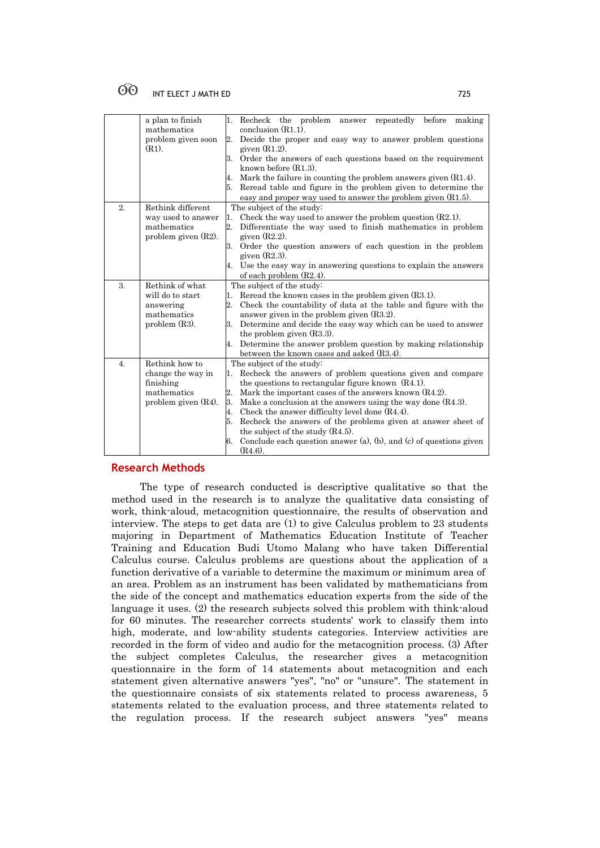|                  | a plan to finish<br>mathematics                      | 1. Recheck the problem answer repeatedly before making<br>conclusion $(R1.1)$ .  |  |
|------------------|------------------------------------------------------|----------------------------------------------------------------------------------|--|
|                  | problem given soon                                   | 2. Decide the proper and easy way to answer problem questions                    |  |
|                  | $(R1)$ .                                             | given $(R1.2)$ .                                                                 |  |
|                  |                                                      | Order the answers of each questions based on the requirement<br>3.               |  |
|                  |                                                      | known before $(R1.3)$ .                                                          |  |
|                  |                                                      | Mark the failure in counting the problem answers given $(R1.4)$ .                |  |
|                  |                                                      | Reread table and figure in the problem given to determine the                    |  |
|                  |                                                      | easy and proper way used to answer the problem given $(R1.5)$ .                  |  |
|                  | 2.<br>Rethink different<br>The subject of the study: |                                                                                  |  |
|                  | way used to answer                                   | Check the way used to answer the problem question $(R2.1)$ .<br>1.               |  |
|                  | mathematics                                          | $\overline{2}$ .<br>Differentiate the way used to finish mathematics in problem  |  |
|                  | problem given $(R2)$ .                               | given $(R2.2)$ .                                                                 |  |
|                  |                                                      | Order the question answers of each question in the problem<br>3.                 |  |
|                  |                                                      | given $(R2.3)$ .                                                                 |  |
|                  |                                                      | Use the easy way in answering questions to explain the answers<br>4.             |  |
|                  |                                                      | of each problem $(R2.4)$ .                                                       |  |
| 3.               | Rethink of what                                      | The subject of the study:                                                        |  |
|                  | will do to start                                     | Reread the known cases in the problem given $(R3.1)$ .<br>1.                     |  |
|                  | answering                                            | 2. Check the countability of data at the table and figure with the               |  |
|                  | mathematics                                          | answer given in the problem given $(R3.2)$ .                                     |  |
|                  | problem $(R3)$ .                                     | Determine and decide the easy way which can be used to answer<br>3.              |  |
|                  |                                                      | the problem given $(R3.3)$ .                                                     |  |
|                  |                                                      | Determine the answer problem question by making relationship<br>4.               |  |
|                  |                                                      | between the known cases and asked (R3.4).                                        |  |
| $\overline{4}$ . | Rethink how to                                       | The subject of the study:                                                        |  |
|                  | change the way in                                    | Recheck the answers of problem questions given and compare<br>1.                 |  |
|                  | finishing                                            | the questions to rectangular figure known $(R4.1)$ .                             |  |
|                  | mathematics                                          | 2.<br>Mark the important cases of the answers known $(R4.2)$ .                   |  |
|                  | problem given $(R4)$ .                               | 3.<br>Make a conclusion at the answers using the way done $(R4.3)$ .             |  |
|                  |                                                      | Check the answer difficulty level done $(R4.4)$ .<br>4.                          |  |
|                  |                                                      | Recheck the answers of the problems given at answer sheet of                     |  |
|                  |                                                      | the subject of the study $(R4.5)$ .                                              |  |
|                  |                                                      | Conclude each question answer $(a)$ , $(b)$ , and $(c)$ of questions given<br>6. |  |
|                  |                                                      | $(R4.6)$ .                                                                       |  |

# **Research Methods**

The type of research conducted is descriptive qualitative so that the method used in the research is to analyze the qualitative data consisting of work, think-aloud, metacognition questionnaire, the results of observation and interview. The steps to get data are (1) to give Calculus problem to 23 students majoring in Department of Mathematics Education Institute of Teacher Training and Education Budi Utomo Malang who have taken Differential Calculus course. Calculus problems are questions about the application of a function derivative of a variable to determine the maximum or minimum area of an area. Problem as an instrument has been validated by mathematicians from the side of the concept and mathematics education experts from the side of the language it uses. (2) the research subjects solved this problem with think-aloud for 60 minutes. The researcher corrects students' work to classify them into high, moderate, and low-ability students categories. Interview activities are recorded in the form of video and audio for the metacognition process. (3) After the subject completes Calculus, the researcher gives a metacognition questionnaire in the form of 14 statements about metacognition and each statement given alternative answers "yes", "no" or "unsure". The statement in the questionnaire consists of six statements related to process awareness, 5 statements related to the evaluation process, and three statements related to the regulation process. If the research subject answers "yes" means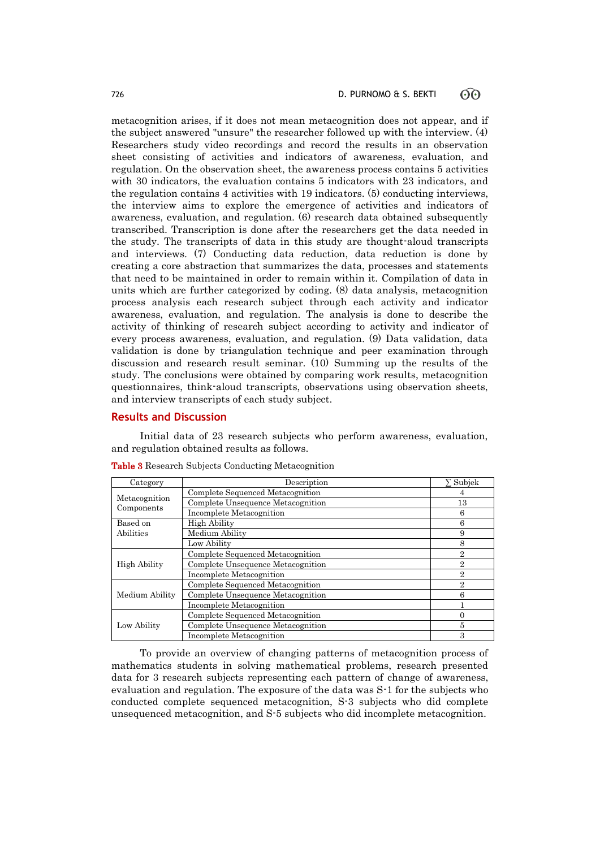metacognition arises, if it does not mean metacognition does not appear, and if the subject answered "unsure" the researcher followed up with the interview. (4) Researchers study video recordings and record the results in an observation sheet consisting of activities and indicators of awareness, evaluation, and regulation. On the observation sheet, the awareness process contains 5 activities with 30 indicators, the evaluation contains 5 indicators with 23 indicators, and the regulation contains 4 activities with 19 indicators. (5) conducting interviews, the interview aims to explore the emergence of activities and indicators of awareness, evaluation, and regulation. (6) research data obtained subsequently transcribed. Transcription is done after the researchers get the data needed in the study. The transcripts of data in this study are thought-aloud transcripts and interviews. (7) Conducting data reduction, data reduction is done by creating a core abstraction that summarizes the data, processes and statements that need to be maintained in order to remain within it. Compilation of data in units which are further categorized by coding. (8) data analysis, metacognition process analysis each research subject through each activity and indicator awareness, evaluation, and regulation. The analysis is done to describe the activity of thinking of research subject according to activity and indicator of every process awareness, evaluation, and regulation. (9) Data validation, data validation is done by triangulation technique and peer examination through discussion and research result seminar. (10) Summing up the results of the study. The conclusions were obtained by comparing work results, metacognition questionnaires, think-aloud transcripts, observations using observation sheets, and interview transcripts of each study subject.

## **Results and Discussion**

Initial data of 23 research subjects who perform awareness, evaluation, and regulation obtained results as follows.

| Category            | Description                       | $\Sigma$ Subjek |
|---------------------|-----------------------------------|-----------------|
| Metacognition       | Complete Sequenced Metacognition  |                 |
|                     | Complete Unsequence Metacognition | 13              |
| Components          | Incomplete Metacognition          | 6               |
| Based on            | <b>High Ability</b>               | 6               |
| Abilities           | Medium Ability                    | 9               |
|                     | Low Ability                       | 8               |
| <b>High Ability</b> | Complete Sequenced Metacognition  | $\overline{2}$  |
|                     | Complete Unsequence Metacognition | $\overline{2}$  |
|                     | Incomplete Metacognition          | $\overline{2}$  |
|                     | Complete Sequenced Metacognition  | $\overline{2}$  |
| Medium Ability      | Complete Unsequence Metacognition | 6               |
|                     | Incomplete Metacognition          |                 |
|                     | Complete Sequenced Metacognition  | 0               |
| Low Ability         | Complete Unsequence Metacognition | 5               |
|                     | Incomplete Metacognition          | 3               |

Table 3 Research Subjects Conducting Metacognition

To provide an overview of changing patterns of metacognition process of mathematics students in solving mathematical problems, research presented data for 3 research subjects representing each pattern of change of awareness, evaluation and regulation. The exposure of the data was S-1 for the subjects who conducted complete sequenced metacognition, S-3 subjects who did complete unsequenced metacognition, and S-5 subjects who did incomplete metacognition.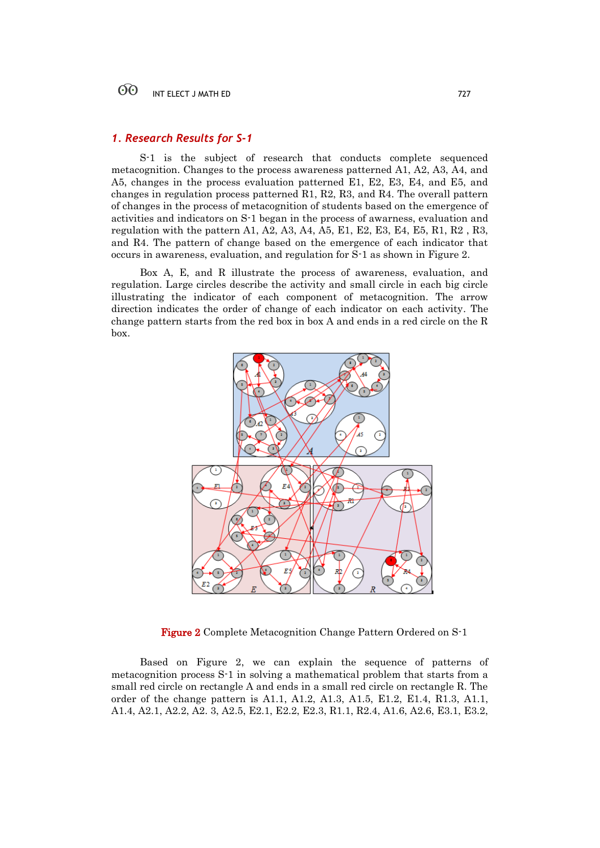### $60^{\circ}$ INT ELECT J MATH ED 727

# *1. Research Results for S-1*

S-1 is the subject of research that conducts complete sequenced metacognition. Changes to the process awareness patterned A1, A2, A3, A4, and A5, changes in the process evaluation patterned E1, E2, E3, E4, and E5, and changes in regulation process patterned R1, R2, R3, and R4. The overall pattern of changes in the process of metacognition of students based on the emergence of activities and indicators on S-1 began in the process of awarness, evaluation and regulation with the pattern A1, A2, A3, A4, A5, E1, E2, E3, E4, E5, R1, R2 , R3, and R4. The pattern of change based on the emergence of each indicator that occurs in awareness, evaluation, and regulation for S-1 as shown in Figure 2.

Box A, E, and R illustrate the process of awareness, evaluation, and regulation. Large circles describe the activity and small circle in each big circle illustrating the indicator of each component of metacognition. The arrow direction indicates the order of change of each indicator on each activity. The change pattern starts from the red box in box A and ends in a red circle on the R box.



Figure 2 Complete Metacognition Change Pattern Ordered on S-1

Based on Figure 2, we can explain the sequence of patterns of metacognition process S-1 in solving a mathematical problem that starts from a small red circle on rectangle A and ends in a small red circle on rectangle R. The order of the change pattern is A1.1, A1.2, A1.3, A1.5, E1.2, E1.4, R1.3, A1.1, A1.4, A2.1, A2.2, A2. 3, A2.5, E2.1, E2.2, E2.3, R1.1, R2.4, A1.6, A2.6, E3.1, E3.2,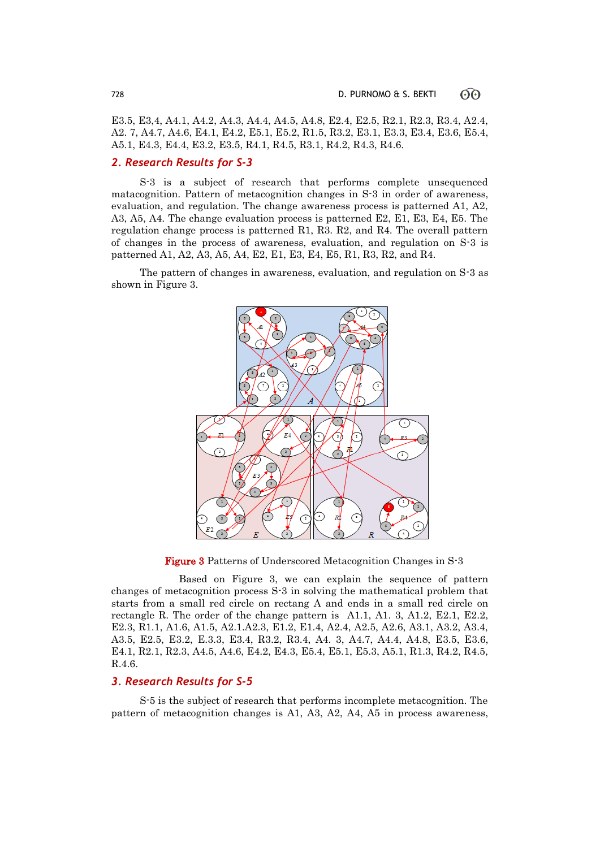E3.5, E3,4, A4.1, A4.2, A4.3, A4.4, A4.5, A4.8, E2.4, E2.5, R2.1, R2.3, R3.4, A2.4, A2. 7, A4.7, A4.6, E4.1, E4.2, E5.1, E5.2, R1.5, R3.2, E3.1, E3.3, E3.4, E3.6, E5.4, A5.1, E4.3, E4.4, E3.2, E3.5, R4.1, R4.5, R3.1, R4.2, R4.3, R4.6.

# *2. Research Results for S-3*

S-3 is a subject of research that performs complete unsequenced matacognition. Pattern of metacognition changes in S-3 in order of awareness, evaluation, and regulation. The change awareness process is patterned A1, A2, A3, A5, A4. The change evaluation process is patterned E2, E1, E3, E4, E5. The regulation change process is patterned R1, R3. R2, and R4. The overall pattern of changes in the process of awareness, evaluation, and regulation on S-3 is patterned A1, A2, A3, A5, A4, E2, E1, E3, E4, E5, R1, R3, R2, and R4.

The pattern of changes in awareness, evaluation, and regulation on S-3 as shown in Figure 3.



Figure 3 Patterns of Underscored Metacognition Changes in S-3

 Based on Figure 3, we can explain the sequence of pattern changes of metacognition process S-3 in solving the mathematical problem that starts from a small red circle on rectang A and ends in a small red circle on rectangle R. The order of the change pattern is A1.1, A1. 3, A1.2, E2.1, E2.2, E2.3, R1.1, A1.6, A1.5, A2.1.A2.3, E1.2, E1.4, A2.4, A2.5, A2.6, A3.1, A3.2, A3.4, A3.5, E2.5, E3.2, E.3.3, E3.4, R3.2, R3.4, A4. 3, A4.7, A4.4, A4.8, E3.5, E3.6, E4.1, R2.1, R2.3, A4.5, A4.6, E4.2, E4.3, E5.4, E5.1, E5.3, A5.1, R1.3, R4.2, R4.5, R.4.6.

# *3. Research Results for S-5*

S-5 is the subject of research that performs incomplete metacognition. The pattern of metacognition changes is A1, A3, A2, A4, A5 in process awareness,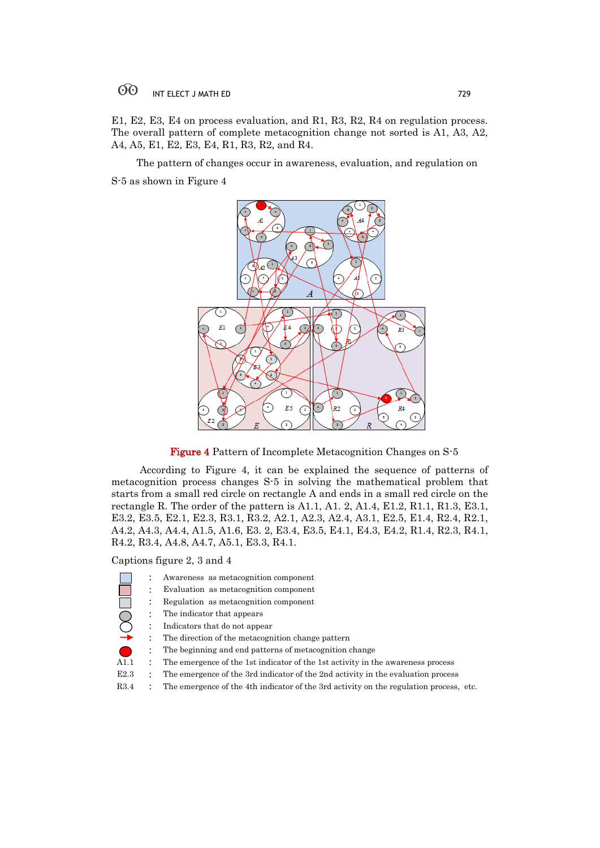## $60^{\circ}$ INT ELECT J MATH ED 729

E1, E2, E3, E4 on process evaluation, and R1, R3, R2, R4 on regulation process. The overall pattern of complete metacognition change not sorted is A1, A3, A2, A4, A5, E1, E2, E3, E4, R1, R3, R2, and R4.

 The pattern of changes occur in awareness, evaluation, and regulation on S-5 as shown in Figure 4



Figure 4 Pattern of Incomplete Metacognition Changes on S-5

According to Figure 4, it can be explained the sequence of patterns of metacognition process changes S-5 in solving the mathematical problem that starts from a small red circle on rectangle A and ends in a small red circle on the rectangle R. The order of the pattern is A1.1, A1. 2, A1.4, E1.2, R1.1, R1.3, E3.1, E3.2, E3.5, E2.1, E2.3, R3.1, R3.2, A2.1, A2.3, A2.4, A3.1, E2.5, E1.4, R2.4, R2.1, A4.2, A4.3, A4.4, A1.5, A1.6, E3. 2, E3.4, E3.5, E4.1, E4.3, E4.2, R1.4, R2.3, R4.1, R4.2, R3.4, A4.8, A4.7, A5.1, E3.3, R4.1.

Captions figure 2, 3 and 4

: Awareness as metacognition component : Evaluation as metacognition component : Regulation as metacognition component : The indicator that appears : Indicators that do not appear : The direction of the metacognition change pattern : The beginning and end patterns of metacognition change A1.1 : The emergence of the 1st indicator of the 1st activity in the awareness process E2.3 : The emergence of the 3rd indicator of the 2nd activity in the evaluation process R3.4 : The emergence of the 4th indicator of the 3rd activity on the regulation process, etc.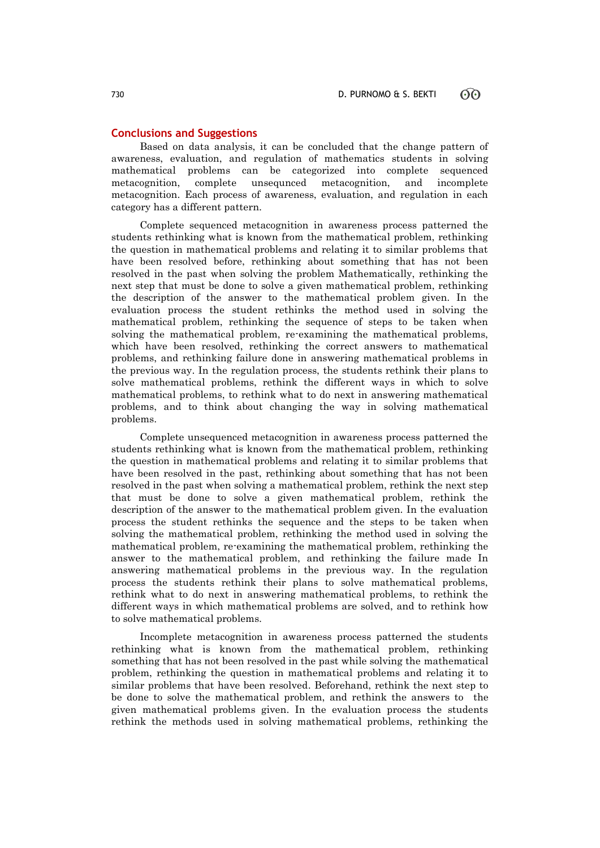# **Conclusions and Suggestions**

Based on data analysis, it can be concluded that the change pattern of awareness, evaluation, and regulation of mathematics students in solving mathematical problems can be categorized into complete sequenced metacognition, complete unsequnced metacognition, and incomplete metacognition. Each process of awareness, evaluation, and regulation in each category has a different pattern.

Complete sequenced metacognition in awareness process patterned the students rethinking what is known from the mathematical problem, rethinking the question in mathematical problems and relating it to similar problems that have been resolved before, rethinking about something that has not been resolved in the past when solving the problem Mathematically, rethinking the next step that must be done to solve a given mathematical problem, rethinking the description of the answer to the mathematical problem given. In the evaluation process the student rethinks the method used in solving the mathematical problem, rethinking the sequence of steps to be taken when solving the mathematical problem, re-examining the mathematical problems, which have been resolved, rethinking the correct answers to mathematical problems, and rethinking failure done in answering mathematical problems in the previous way. In the regulation process, the students rethink their plans to solve mathematical problems, rethink the different ways in which to solve mathematical problems, to rethink what to do next in answering mathematical problems, and to think about changing the way in solving mathematical problems.

Complete unsequenced metacognition in awareness process patterned the students rethinking what is known from the mathematical problem, rethinking the question in mathematical problems and relating it to similar problems that have been resolved in the past, rethinking about something that has not been resolved in the past when solving a mathematical problem, rethink the next step that must be done to solve a given mathematical problem, rethink the description of the answer to the mathematical problem given. In the evaluation process the student rethinks the sequence and the steps to be taken when solving the mathematical problem, rethinking the method used in solving the mathematical problem, re-examining the mathematical problem, rethinking the answer to the mathematical problem, and rethinking the failure made In answering mathematical problems in the previous way. In the regulation process the students rethink their plans to solve mathematical problems, rethink what to do next in answering mathematical problems, to rethink the different ways in which mathematical problems are solved, and to rethink how to solve mathematical problems.

Incomplete metacognition in awareness process patterned the students rethinking what is known from the mathematical problem, rethinking something that has not been resolved in the past while solving the mathematical problem, rethinking the question in mathematical problems and relating it to similar problems that have been resolved. Beforehand, rethink the next step to be done to solve the mathematical problem, and rethink the answers to the given mathematical problems given. In the evaluation process the students rethink the methods used in solving mathematical problems, rethinking the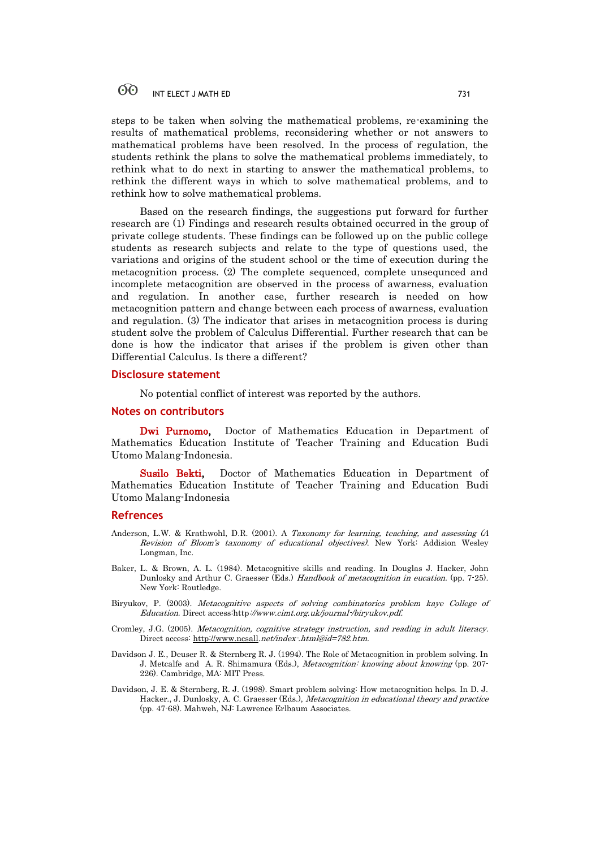steps to be taken when solving the mathematical problems, re-examining the results of mathematical problems, reconsidering whether or not answers to mathematical problems have been resolved. In the process of regulation, the students rethink the plans to solve the mathematical problems immediately, to rethink what to do next in starting to answer the mathematical problems, to rethink the different ways in which to solve mathematical problems, and to rethink how to solve mathematical problems.

Based on the research findings, the suggestions put forward for further research are (1) Findings and research results obtained occurred in the group of private college students. These findings can be followed up on the public college students as research subjects and relate to the type of questions used, the variations and origins of the student school or the time of execution during the metacognition process. (2) The complete sequenced, complete unsequnced and incomplete metacognition are observed in the process of awarness, evaluation and regulation. In another case, further research is needed on how metacognition pattern and change between each process of awarness, evaluation and regulation. (3) The indicator that arises in metacognition process is during student solve the problem of Calculus Differential. Further research that can be done is how the indicator that arises if the problem is given other than Differential Calculus. Is there a different?

# **Disclosure statement**

No potential conflict of interest was reported by the authors.

## **Notes on contributors**

Dwi Purnomo, Doctor of Mathematics Education in Department of Mathematics Education Institute of Teacher Training and Education Budi Utomo Malang-Indonesia.

Susilo Bekti, Doctor of Mathematics Education in Department of Mathematics Education Institute of Teacher Training and Education Budi Utomo Malang-Indonesia

# **Refrences**

- Anderson, L.W. & Krathwohl, D.R. (2001). A Taxonomy for learning, teaching, and assessing (A Revision of Bloom's taxonomy of educational objectives). New York: Addision Wesley Longman, Inc.
- Baker, L. & Brown, A. L. (1984). Metacognitive skills and reading. In Douglas J. Hacker, John Dunlosky and Arthur C. Graesser (Eds.) Handbook of metacognition in eucation. (pp. 7-25). New York: Routledge.
- Biryukov, P. (2003). Metacognitive aspects of solving combinatorics problem kaye College of Education. Direct access:http://www.cimt.org.uk/journal-/biryukov.pdf.
- Cromley, J.G. (2005). Metacognition, cognitive strategy instruction, and reading in adult literacy. Direct access[: http://www.ncsall](http://www.ncsall/).net/index-.html@id=782.htm.
- Davidson J. E., Deuser R. & Sternberg R. J. (1994). The Role of Metacognition in problem solving. In J. Metcalfe and A. R. Shimamura (Eds.), Metacognition: knowing about knowing (pp. 207- 226). Cambridge, MA: MIT Press.
- Davidson, J. E. & Sternberg, R. J. (1998). Smart problem solving: How metacognition helps. In D. J. Hacker., J. Dunlosky, A. C. Graesser (Eds.), Metacognition in educational theory and practice (pp. 47-68). Mahweh, NJ: Lawrence Erlbaum Associates.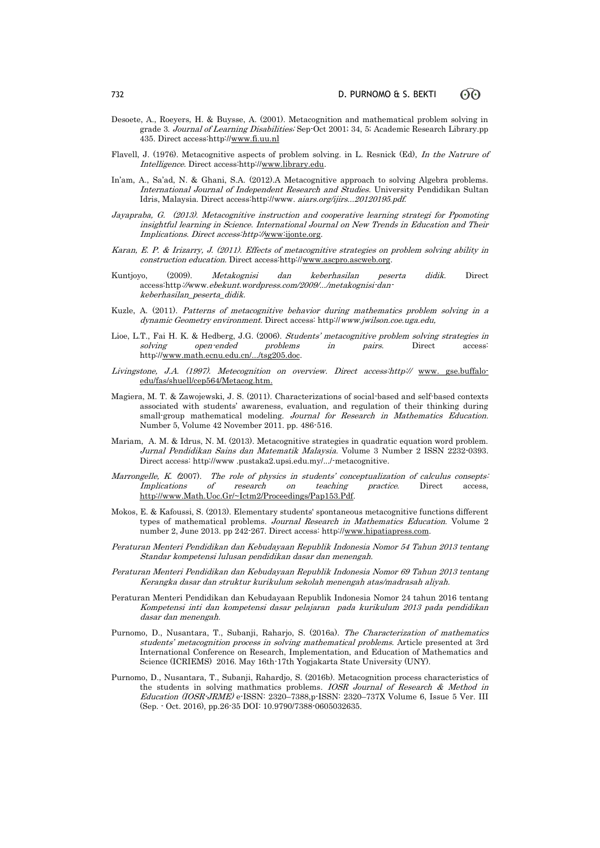- Desoete, A., Roeyers, H. & Buysse, A. (2001). Metacognition and mathematical problem solving in grade 3. Journal of Learning Disabilities; Sep-Oct 2001; 34, 5; Academic Research Library.pp 435. Direct access:http:[//www.fi.uu.nl](http://www.fi.uu.nl/)
- Flavell, J. (1976). Metacognitive aspects of problem solving. in L. Resnick (Ed), In the Natrure of Intelligence. Direct access:http:[//www.library.edu.](http://www.library.edu/)
- In'am, A., Sa'ad, N. & Ghani, S.A. (2012).A Metacognitive approach to solving Algebra problems. International Journal of Independent Research and Studies. University Pendidikan Sultan Idris, Malaysia. Direct access:http://www. aiars.org/ijirs...20120195.pdf.
- Jayapraba, G. (2013). Metacognitive instruction and cooperative learning strategi for Ppomoting insightful learning in Science. International Journal on New Trends in Education and Their Implications. Direct access:http://[www:ijonte.org.](http://www:ijonte.org)
- Karan, E. P. & Irizarry, J. (2011). Effects of metacognitive strategies on problem solving ability in construction education. Direct access http:/[/www.ascpro.ascweb.org.](http://www.ascpro.ascweb.org/)
- Kuntjoyo, (2009). Metakognisi dan keberhasilan peserta didik. Direct access:http://www.ebekunt.wordpress.com/2009/.../metakognisi-dankeberhasilan\_peserta\_didik.
- Kuzle, A. (2011). Patterns of metacognitive behavior during mathematics problem solving in a dynamic Geometry environment. Direct access: http://www.jwilson.coe.uga.edu,
- Lioe, L.T., Fai H. K. & Hedberg, J.G. (2006). Students' metacognitive problem solving strategies in solving open-ended problems in pairs. Direct access http:[//www.math.ecnu.edu.cn/.../tsg205.doc.](http://www.math.ecnu.edu.cn/.../tsg205.doc)
- Livingstone, J.A. (1997). Metecognition on overview. Direct access: http:// [www. gse.buffalo](http://www.gse.buffalo-edu/fas/shuell/cep564/Metacog.htm)[edu/fas/shuell/cep564/Metacog.htm.](http://www.gse.buffalo-edu/fas/shuell/cep564/Metacog.htm)
- Magiera, M. T. & Zawojewski, J. S. (2011). Characterizations of social-based and self-based contexts associated with students' awareness, evaluation, and regulation of their thinking during small-group mathematical modeling. Journal for Research in Mathematics Education. Number 5, Volume 42 November 2011. pp. 486-516.
- Mariam, A. M. & Idrus, N. M. (2013). Metacognitive strategies in quadratic equation word problem. Jurnal Pendidikan Sains dan Matematik Malaysia. Volume 3 Number 2 ISSN 2232-0393. Direct access: http://www .pustaka2.upsi.edu.my/.../-metacognitive.
- Marrongelle, K. (2007). The role of physics in students' conceptualization of calculus consepts: Implications of research on teaching practice. Direct access, [http://www.Math.Uoc.Gr/~Ictm2/Proceedings/Pap153.Pdf.](http://www.math.uoc.gr/~Ictm2/Proceedings/Pap153.Pdf)
- Mokos, E. & Kafoussi, S. (2013). Elementary students' spontaneous metacognitive functions different types of mathematical problems. Journal Research in Mathematics Education. Volume 2 number 2, June 2013. pp 242-267. Direct access: http:/[/www.hipatiapress.com.](http://www.hipatiapress.com/)
- Peraturan Menteri Pendidikan dan Kebudayaan Republik Indonesia Nomor 54 Tahun 2013 tentang Standar kompetensi lulusan pendidikan dasar dan menengah.
- Peraturan Menteri Pendidikan dan Kebudayaan Republik Indonesia Nomor 69 Tahun 2013 tentang Kerangka dasar dan struktur kurikulum sekolah menengah atas/madrasah aliyah.
- Peraturan Menteri Pendidikan dan Kebudayaan Republik Indonesia Nomor 24 tahun 2016 tentang Kompetensi inti dan kompetensi dasar pelajaran pada kurikulum 2013 pada pendidikan dasar dan menengah.
- Purnomo, D., Nusantara, T., Subanji, Raharjo, S. (2016a). The Characterization of mathematics students' metacognition process in solving mathematical problems. Article presented at 3rd International Conference on Research, Implementation, and Education of Mathematics and Science (ICRIEMS) 2016. May 16th-17th Yogjakarta State University (UNY).
- Purnomo, D., Nusantara, T., Subanji, Rahardjo, S. (2016b). Metacognition process characteristics of the students in solving mathmatics problems. IOSR Journal of Research & Method in Education (IOSR-JRME) e-ISSN: 2320–7388,p-ISSN: 2320–737X Volume 6, Issue 5 Ver. III (Sep. - Oct. 2016), pp.26-35 DOI: 10.9790/7388-0605032635.